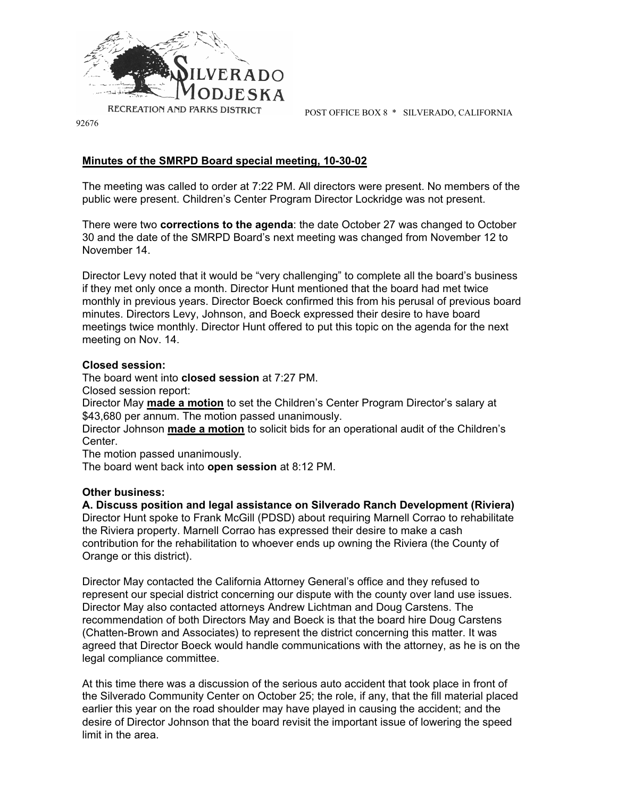

POST OFFICE BOX 8 \* SILVERADO, CALIFORNIA

92676

## **Minutes of the SMRPD Board special meeting, 10-30-02**

The meeting was called to order at 7:22 PM. All directors were present. No members of the public were present. Children's Center Program Director Lockridge was not present.

There were two **corrections to the agenda**: the date October 27 was changed to October 30 and the date of the SMRPD Board's next meeting was changed from November 12 to November 14.

Director Levy noted that it would be "very challenging" to complete all the board's business if they met only once a month. Director Hunt mentioned that the board had met twice monthly in previous years. Director Boeck confirmed this from his perusal of previous board minutes. Directors Levy, Johnson, and Boeck expressed their desire to have board meetings twice monthly. Director Hunt offered to put this topic on the agenda for the next meeting on Nov. 14.

## **Closed session:**

The board went into **closed session** at 7:27 PM.

Closed session report:

Director May **made a motion** to set the Children's Center Program Director's salary at \$43,680 per annum. The motion passed unanimously.

Director Johnson **made a motion** to solicit bids for an operational audit of the Children's Center.

The motion passed unanimously.

The board went back into **open session** at 8:12 PM.

## **Other business:**

**A. Discuss position and legal assistance on Silverado Ranch Development (Riviera)** Director Hunt spoke to Frank McGill (PDSD) about requiring Marnell Corrao to rehabilitate the Riviera property. Marnell Corrao has expressed their desire to make a cash contribution for the rehabilitation to whoever ends up owning the Riviera (the County of Orange or this district).

Director May contacted the California Attorney General's office and they refused to represent our special district concerning our dispute with the county over land use issues. Director May also contacted attorneys Andrew Lichtman and Doug Carstens. The recommendation of both Directors May and Boeck is that the board hire Doug Carstens (Chatten-Brown and Associates) to represent the district concerning this matter. It was agreed that Director Boeck would handle communications with the attorney, as he is on the legal compliance committee.

At this time there was a discussion of the serious auto accident that took place in front of the Silverado Community Center on October 25; the role, if any, that the fill material placed earlier this year on the road shoulder may have played in causing the accident; and the desire of Director Johnson that the board revisit the important issue of lowering the speed limit in the area.